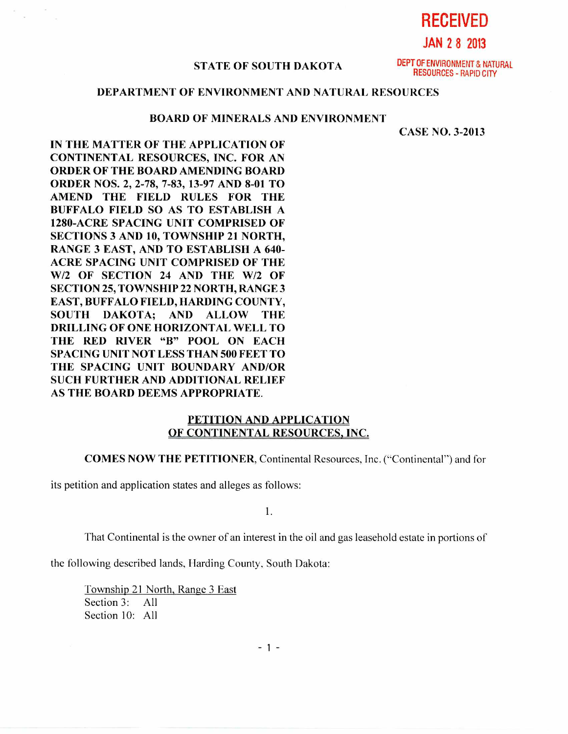**RECEIVED** 

JAN 2 8 2013

#### **STATE OF SOUTH DAKOTA**

DEPT OF ENVIRONMENT & NATURAL RESOURCES - RAPID CITY

# **DEPARTMENT OF ENVIRONMENT AND NATURAL RESOURCES**

### **BOARD OF MINERALS AND ENVIRONMENT**

CASE NO. 3-2013

**IN THE MATTER OF THE APPLICATION OF CONTINENTAL RESOURCES, INC. FOR AN ORDER OF THE BOARD AMENDING BOARD ORDER NOS. 2, 2-78, 7-83, 13-97 AND 8-01 TO AMEND THE FIELD RULES FOR THE BUFFALO FIELD SO AS TO ESTABLISH A 1280-ACRE SPACING UNIT COMPRISED OF SECTIONS 3 AND 10, TOWNSHIP 21 NORTH, RANGE 3 EAST, AND TO ESTABLISH A 640- ACRE SPACING UNIT COMPRISED OF THE W/2 OF SECTION 24 AND THE W/2 OF SECTION 25, TOWNSHIP 22 NORTH, RANGE 3 EAST, BUFFALO FIELD, HARDING COUNTY, SOUTH DAKOTA; AND ALLOW THE DRILLING OF ONE HORIZONTAL WELL TO THE RED RIVER "B" POOL ON EACH SPACING UNIT NOT LESS THAN 500 FEET TO THE SPACING UNIT BOUNDARY AND/OR SUCH FURTHER AND ADDITIONAL RELIEF AS THE BOARD DEEMS APPROPRIATE.** 

## **PETITION AND APPLICATION OF CONTINENTAL RESOURCES, INC.**

### COMES NOW THE PETITIONER. Continental Resources, Inc. ("Continental") and for

its petition and application states and alleges as follows:

1.

That Continental is the owner of an interest in the oil and gas leasehold estate in portions of

the following described lands, Harding County, South Dakota:

Township 21 North, Range 3 East Section 3: All Section 10: All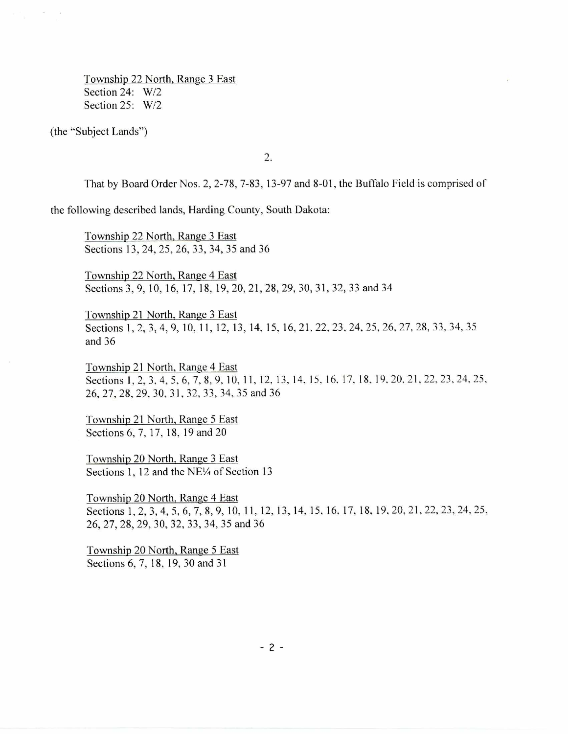Township 22 North, Range 3 East Section 24: W/2 Section 25: W/2

(the "Subject Lands")

 $\frac{1}{2}$  $\sim$ 

2.

That by Board Order Nos. 2, 2-78, 7-83, 13-97 and 8-01, the Buffalo Field is comprised of

the following described lands, Harding County, South Dakota:

Township 22 North, Range 3 East Sections 13, 24, 25, 26, 33, 34, 35 and 36

Township 22 North, Range 4 East Sections 3, 9, 10, 16, 17, 18, 19, 20, 21, 28, 29, 30, 31, 32, 33 and 34

Township 21 North, Range 3 East Sections 1, 2, 3, 4, 9, 10, 11, 12, 13, 14, 15, 16, 21, 22, 23, 24, 25, 26, 27, 28, 33, 34, 35 and 36

Township 21 North, Range 4 East Sections 1, 2, 3, 4, 5, 6, 7, 8, 9, 10, 11, 12, 13, 14, 15, 16, 17, 18, 19, 20, 21, 22, 23, 24, 25, 26, 27, 28, 29, 30, 31, 32, 33, 34, 35 and 36

Township 21 North, Range 5 East Sections 6, 7, 17, 18, 19 and 20

Township 20 North, Range 3 East Sections 1, 12 and the NE<sup> $\frac{1}{4}$ </sup> of Section 13

Township 20 North, Range 4 East Sections 1, 2, 3, 4, 5, 6, 7, 8, 9, 10, 11, 12, 13, 14, 15, 16, 17, 18, 19, 20, 21, 22, 23, 24, 25, 26, 27, 28, 29, 30, 32, 33, 34, 35 and 36

Township 20 North, Range 5 East Sections 6, 7, 18, 19, 30 and 31

 $-2-$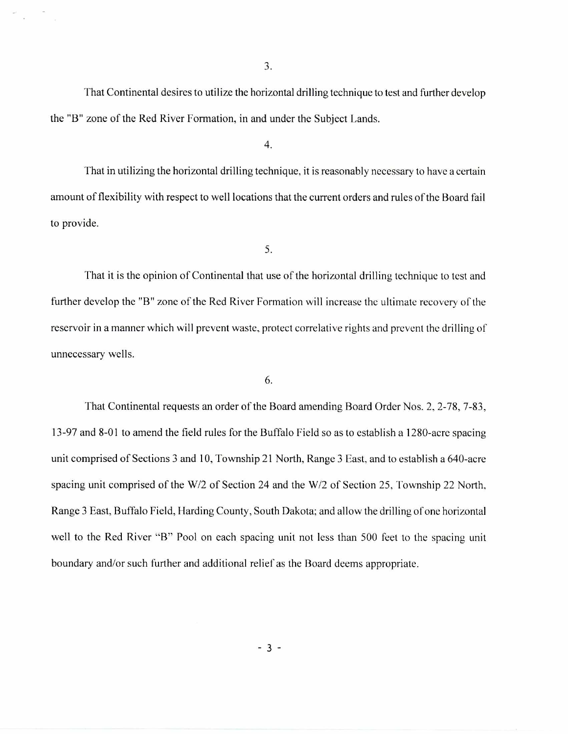3.

That Continental desires to utilize the horizontal drilling technique to test and further develop the "B" zone of the Red River Formation, in and under the Subject Lands.

4.

That in utilizing the horizontal drilling technique, it is reasonably necessary to have a certain amount of flexibility with respect to well locations that the current orders and rules of the Board fail to provide.

5.

That it is the opinion of Continental that use of the horizontal drilling technique to test and further develop the "B" zone of the Red River Formation will increase the ultimate recovery of the reservoir in a manner which will prevent waste, protect correlative rights and prevent the drilling of unnecessary wells.

6.

That Continental requests an order of the Board amending Board Order Nos. 2, 2-78, 7-83, 13-97 and 8-01 to amend the field rules for the Buffalo Field so as to establish a 1280-acre spacing unit comprised of Sections 3 and 10, Township 21 North, Range 3 East, and to establish a 640-acre spacing unit comprised of the W/2 of Section 24 and the W/2 of Section 25, Township 22 North, Range 3 East, Buffalo Field, Harding County, South Dakota; and allow the drilling of one horizontal well to the Red River "B" Pool on each spacing unit not less than 500 feet to the spacing unit boundary and/or such further and additional relief as the Board deems appropriate.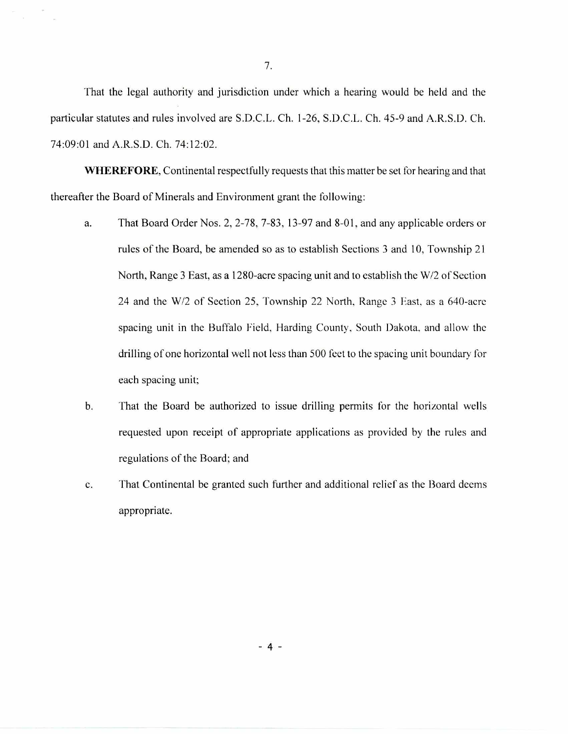That the legal authority and jurisdiction under which a hearing would be held and the particular statutes and rules involved are S.D.C.L. Ch. 1-26, S.D.C.L. Ch. 45-9 and A.R.S.D. Ch. 74:09:01 and A.R.S.D. Ch. 74:12:02.

**WHEREFORE,** Continental respectfully requests that this matter be set for hearing and that thereafter the Board of Minerals and Environment grant the following:

- a. That Board Order Nos. 2, 2-78, 7-83, 13-97 and 8-01, and any applicable orders or rules of the Board, be amended so as to establish Sections 3 and 10, Township 21 North, Range 3 East, as a 1280-acre spacing unit and to establish the W/2 of Section 24 and the W/2 of Section 25, Township 22 North, Range 3 East, as a 640-acre spacing unit in the Buffalo Field, Harding County, South Dakota, and allow the drilling of one horizontal well not less than 500 feet to the spacing unit boundary for each spacing unit;
- b. That the Board be authorized to issue drilling permits for the horizontal wells requested upon receipt of appropriate applications as provided by the rules and regulations of the Board; and
- c. That Continental be granted such further and additional relief as the Board deems appropriate.

7.

 $-4 -$